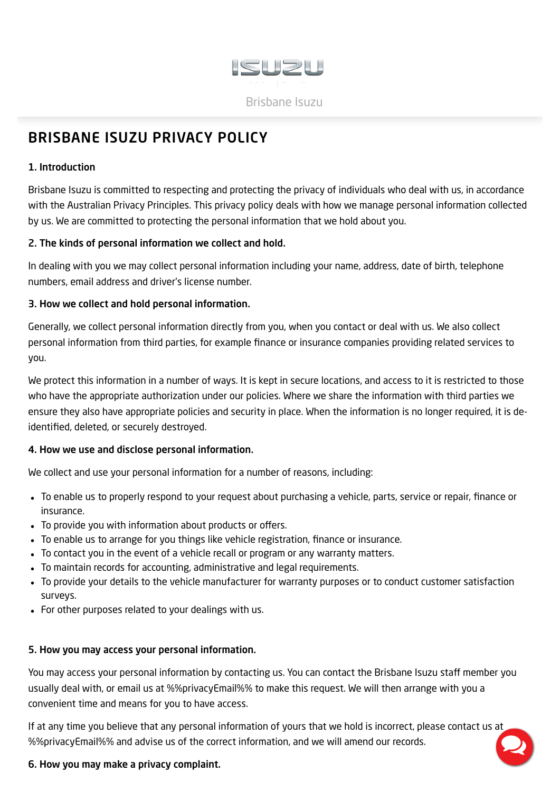

# <span id="page-0-0"></span>BRISBANE ISUZU PRIVACY POLICY

## 1. Introduction

Brisbane Isuzu is committed to respecting and protecting the privacy of individuals who deal with us, in accordance with the Australian Privacy Principles. This privacy policy deals with how we manage personal information collected by us. We are committed to protecting the personal information that we hold about you.

#### 2. The kinds of personal information we collect and hold.

In dealing with you we may collect personal information including your name, address, date of birth, telephone numbers, email address and driver's license number.

## 3. How we collect and hold personal information.

Generally, we collect personal information directly from you, when you contact or deal with us. We also collect personal information from third parties, for example finance or insurance companies providing related services to you.

We protect this information in a number of ways. It is kept in secure locations, and access to it is restricted to those who have the appropriate authorization under our policies. Where we share the information with third parties we ensure they also have appropriate policies and security in place. When the information is no longer required, it is deidentified, deleted, or securely destroyed.

# 4. How we use and disclose personal information.

We collect and use your personal information for a number of reasons, including:

- To enable us to properly respond to your request about purchasing a vehicle, parts, service or repair, finance or insurance.
- To provide you with information about products or offers.
- To enable us to arrange for you things like vehicle registration, finance or insurance.
- To contact you in the event of a vehicle recall or program or any warranty matters.
- To maintain records for accounting, administrative and legal requirements.
- To provide your details to the vehicle manufacturer for warranty purposes or to conduct customer satisfaction surveys.
- For other purposes related to your dealings with us.

#### 5. How you may access your personal information.

You may access your personal information by contacting us. You can contact the Brisbane Isuzu staff member you usually deal with, or email us at %%privacyEmail%% to make this request. We will then arrange with you a convenient time and means for you to have access.

If at any time you believe that any personal information of yours that we hold is incorrect, please contact us at %%privacyEmail%% and advise us of the correct information, and we will amend our records.

# 6. How you may make a privacy complaint.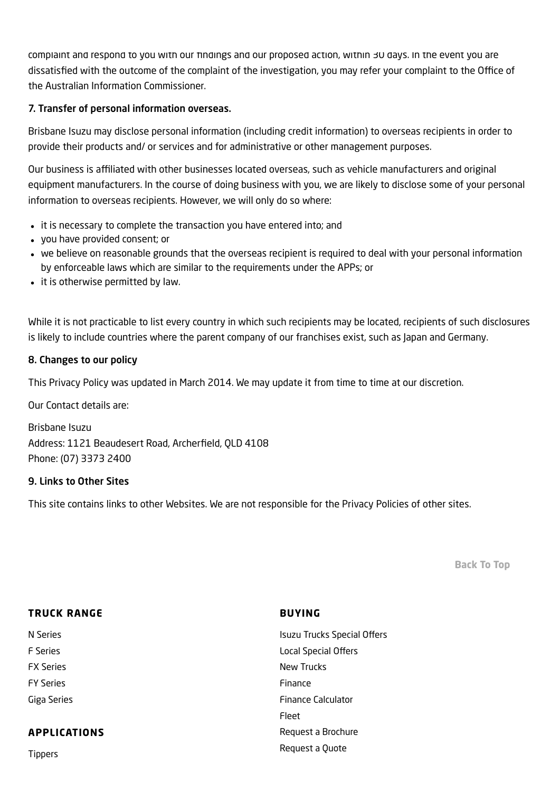complaint and respond to you with our findings and our proposed action, within 30 days. In the event you are dissatisfied with the outcome of the complaint of the investigation, you may refer your complaint to the Office of the Australian Information Commissioner.

## 7. Transfer of personal information overseas.

Brisbane Isuzu may disclose personal information (including credit information) to overseas recipients in order to provide their products and/ or services and for administrative or other management purposes.

Our business is affiliated with other businesses located overseas, such as vehicle manufacturers and original equipment manufacturers. In the course of doing business with you, we are likely to disclose some of your personal information to overseas recipients. However, we will only do so where:

- it is necessary to complete the transaction you have entered into; and
- you have provided consent; or
- we believe on reasonable grounds that the overseas recipient is required to deal with your personal information by enforceable laws which are similar to the requirements under the APPs; or
- it is otherwise permitted by law.

While it is not practicable to list every country in which such recipients may be located, recipients of such disclosures is likely to include countries where the parent company of our franchises exist, such as Japan and Germany.

#### 8. Changes to our policy

This Privacy Policy was updated in March 2014. We may update it from time to time at our discretion.

Our Contact details are:

Brisbane Isuzu Address: 1121 Beaudesert Road, Archerfield, QLD 4108 Phone: (07) 3373 2400

#### 9. Links to Other Sites

This site contains links to other Websites. We are not responsible for the Privacy Policies of other sites.

[Back](#page-0-0) To Top

| <b>TRUCK RANGE</b>  | <b>BUYING</b>                      |
|---------------------|------------------------------------|
| N Series            | <b>Isuzu Trucks Special Offers</b> |
| <b>F</b> Series     | <b>Local Special Offers</b>        |
| <b>FX Series</b>    | New Trucks                         |
| <b>FY Series</b>    | Finance                            |
| Giga Series         | <b>Finance Calculator</b>          |
|                     | Fleet                              |
| <b>APPLICATIONS</b> | Request a Brochure                 |
| <b>Tippers</b>      | Request a Quote                    |